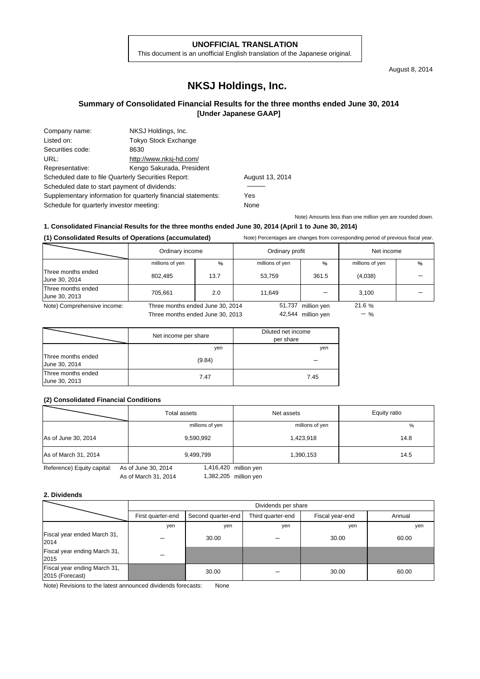#### **UNOFFICIAL TRANSLATION**

This document is an unofficial English translation of the Japanese original.

August 8, 2014

# **NKSJ Holdings, Inc.**

### **Summary of Consolidated Financial Results for the three months ended June 30, 2014 [Under Japanese GAAP]**

| Company name:                                       | NKSJ Holdings, Inc.                                           |      |
|-----------------------------------------------------|---------------------------------------------------------------|------|
| Listed on:                                          | <b>Tokyo Stock Exchange</b>                                   |      |
| Securities code:                                    | 8630                                                          |      |
| URL:                                                | http://www.nksj-hd.com/                                       |      |
| Representative:                                     | Kengo Sakurada, President                                     |      |
| Scheduled date to file Quarterly Securities Report: |                                                               | Augu |
| Scheduled date to start payment of dividends:       |                                                               |      |
|                                                     | Supplementary information for quarterly financial statements: | Yes  |
| Schedule for quarterly investor meeting:            |                                                               | None |

August 13, 2014

Note) Amounts less than one million yen are rounded down.

### **1. Consolidated Financial Results for the three months ended June 30, 2014 (April 1 to June 30, 2014)**

#### **(1) Consolidated Results of Operations (accumulated)** Note) Percentages are changes from corresponding period of previous fiscal year.

|                                     | Ordinary income                  |               | Ordinary profit |                    | Net income      |   |
|-------------------------------------|----------------------------------|---------------|-----------------|--------------------|-----------------|---|
|                                     | millions of yen                  | $\frac{0}{0}$ | millions of yen | %                  | millions of yen | % |
| Three months ended<br>June 30, 2014 | 802,485                          | 13.7          | 53,759          | 361.5              | (4,038)         |   |
| Three months ended<br>June 30, 2013 | 705,661                          | 2.0           | 11.649          |                    | 3,100           |   |
| Note) Comprehensive income:         | Three months ended June 30, 2014 |               | 51,737          | million yen        | 21.6%           |   |
|                                     | Three months ended June 30, 2013 |               |                 | 42,544 million yen | $-$ %           |   |

| Triled Montris enged June 30, 2013 |  |  |  |
|------------------------------------|--|--|--|
|                                    |  |  |  |

|                                     | Net income per share | Diluted net income<br>per share |
|-------------------------------------|----------------------|---------------------------------|
|                                     | yen                  | yen                             |
| Three months ended<br>June 30, 2014 | (9.84)               |                                 |
| Three months ended<br>June 30, 2013 | 7.47                 | 7.45                            |

#### **(2) Consolidated Financial Conditions**

|                      | Total assets    | Net assets      | Equity ratio |
|----------------------|-----------------|-----------------|--------------|
|                      | millions of yen | millions of yen | %            |
| As of June 30, 2014  | 9,590,992       | 1,423,918       | 14.8         |
| As of March 31, 2014 | 9,499,799       | 1,390,153       | 14.5         |

Reference) Equity capital: As of June 30, 2014

As of March 31, 2014 1,382,205 million yen 1,416,420

#### **2. Dividends**

|                                                 |                   | Dividends per share |                   |                 |        |  |  |
|-------------------------------------------------|-------------------|---------------------|-------------------|-----------------|--------|--|--|
|                                                 | First quarter-end | Second quarter-end  | Third quarter-end | Fiscal year-end | Annual |  |  |
|                                                 | yen               | yen                 | yen               | yen             | yen    |  |  |
| Fiscal year ended March 31,<br>2014             |                   | 30.00               |                   | 30.00           | 60.00  |  |  |
| Fiscal year ending March 31,<br>2015            |                   |                     |                   |                 |        |  |  |
| Fiscal year ending March 31,<br>2015 (Forecast) |                   | 30.00               |                   | 30.00           | 60.00  |  |  |

Note) Revisions to the latest announced dividends forecasts: None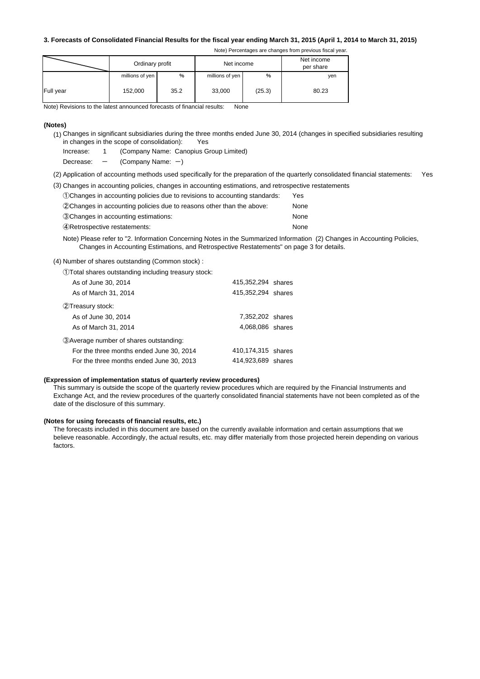#### **3. Forecasts of Consolidated Financial Results for the fiscal year ending March 31, 2015 (April 1, 2014 to March 31, 2015)**

Note) Percentages are changes from previous fiscal year.

|           | Ordinary profit |      | Net income      |        | Net income<br>per share |
|-----------|-----------------|------|-----------------|--------|-------------------------|
|           | millions of yen | %    | millions of yen | %      | yen                     |
| Full year | 152,000         | 35.2 | 33,000          | (25.3) | 80.23                   |

Note) Revisions to the latest announced forecasts of financial results: None

#### **(Notes)**

- (1) Changes in significant subsidiaries during the three months ended June 30, 2014 (changes in specified subsidiaries resulting in changes in the scope of consolidation): Yes
	- Increase: 1 (Company Name: Canopius Group Limited)
	- Decrease:  $-$  (Company Name:  $-$ )
- (2) Application of accounting methods used specifically for the preparation of the quarterly consolidated financial statements: Yes

|  |  |  | (3) Changes in accounting policies, changes in accounting estimations, and retrospective restatements |  |  |  |  |  |
|--|--|--|-------------------------------------------------------------------------------------------------------|--|--|--|--|--|
|--|--|--|-------------------------------------------------------------------------------------------------------|--|--|--|--|--|

| (1) Changes in accounting policies due to revisions to accounting standards: | Yes. |
|------------------------------------------------------------------------------|------|
| (2) Changes in accounting policies due to reasons other than the above:      | None |
| 30 Changes in accounting estimations:                                        | None |
| 4) Retrospective restatements:                                               | None |

Note) Please refer to "2. Information Concerning Notes in the Summarized Information (2) Changes in Accounting Policies, Changes in Accounting Estimations, and Retrospective Restatements" on page 3 for details.

(4) Number of shares outstanding (Common stock) :

①Total shares outstanding including treasury stock:

| As of June 30, 2014                      | 415,352,294 shares |  |
|------------------------------------------|--------------------|--|
| As of March 31, 2014                     | 415,352,294 shares |  |
| 2) Treasury stock:                       |                    |  |
| As of June 30, 2014                      | 7,352,202 shares   |  |
| As of March 31, 2014                     | 4.068.086 shares   |  |
| 3) Average number of shares outstanding: |                    |  |
| For the three months ended June 30, 2014 | 410,174,315 shares |  |
| For the three months ended June 30, 2013 | 414,923,689 shares |  |

#### **(Expression of implementation status of quarterly review procedures)**

This summary is outside the scope of the quarterly review procedures which are required by the Financial Instruments and Exchange Act, and the review procedures of the quarterly consolidated financial statements have not been completed as of the date of the disclosure of this summary.

#### **(Notes for using forecasts of financial results, etc.)**

The forecasts included in this document are based on the currently available information and certain assumptions that we believe reasonable. Accordingly, the actual results, etc. may differ materially from those projected herein depending on various factors.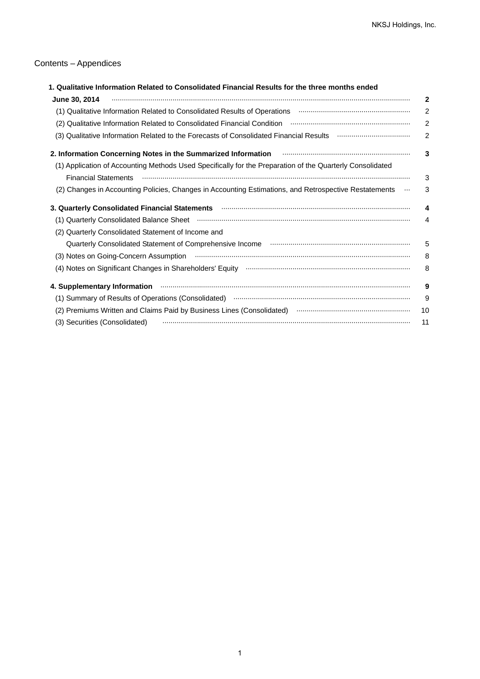## Contents – Appendices

| 1. Qualitative Information Related to Consolidated Financial Results for the three months ended                                                                                                                                    |              |
|------------------------------------------------------------------------------------------------------------------------------------------------------------------------------------------------------------------------------------|--------------|
| June 30, 2014                                                                                                                                                                                                                      | $\mathbf{2}$ |
|                                                                                                                                                                                                                                    | 2            |
| (2) Qualitative Information Related to Consolidated Financial Condition manufacture intermediative Information                                                                                                                     | 2            |
| (3) Qualitative Information Related to the Forecasts of Consolidated Financial Results <b>multimetary construents</b>                                                                                                              | 2            |
| 2. Information Concerning Notes in the Summarized Information <b>Conservation</b> 2. Information Concerning Notes in the Summarized Information                                                                                    | 3            |
| (1) Application of Accounting Methods Used Specifically for the Preparation of the Quarterly Consolidated                                                                                                                          |              |
| <b>Financial Statements</b>                                                                                                                                                                                                        | 3            |
| (2) Changes in Accounting Policies, Changes in Accounting Estimations, and Retrospective Restatements<br>                                                                                                                          | 3            |
| 3. Quarterly Consolidated Financial Statements <b>manufacture of the Consolidate Statement Consolidated Financial Statements</b> manufacture and construct the constant of the construction of the constant of the construction of | 4            |
| (1) Quarterly Consolidated Balance Sheet (and accordinational continuum according to a subsequent of the state of the state of the state of the state of the state of the state of the state of the state of the state of the      | 4            |
| Quarterly Consolidated Statement of Income and<br>(2)                                                                                                                                                                              |              |
|                                                                                                                                                                                                                                    | 5            |
|                                                                                                                                                                                                                                    | 8            |
|                                                                                                                                                                                                                                    | 8            |
|                                                                                                                                                                                                                                    | 9            |
| (1) Summary of Results of Operations (Consolidated) manufactured and contain the control of Results of Operations (Consolidated)                                                                                                   | 9            |
| (2) Premiums Written and Claims Paid by Business Lines (Consolidated) manual content content content and claims                                                                                                                    | 10           |
| (3) Securities (Consolidated)                                                                                                                                                                                                      | 11           |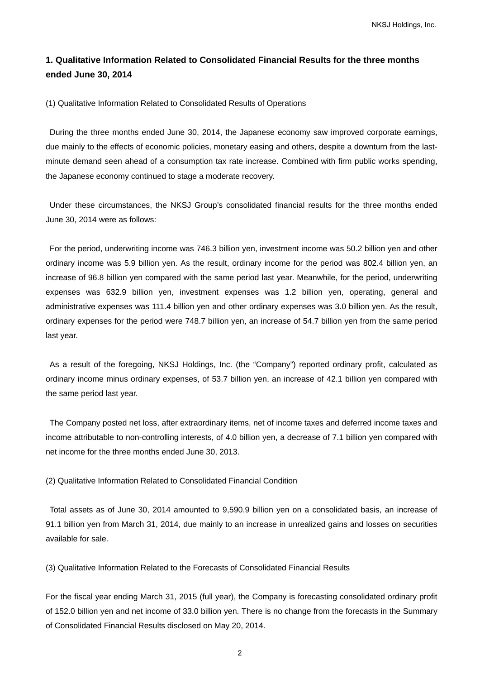## **1. Qualitative Information Related to Consolidated Financial Results for the three months ended June 30, 2014**

(1) Qualitative Information Related to Consolidated Results of Operations

During the three months ended June 30, 2014, the Japanese economy saw improved corporate earnings, due mainly to the effects of economic policies, monetary easing and others, despite a downturn from the lastminute demand seen ahead of a consumption tax rate increase. Combined with firm public works spending, the Japanese economy continued to stage a moderate recovery.

Under these circumstances, the NKSJ Group's consolidated financial results for the three months ended June 30, 2014 were as follows:

For the period, underwriting income was 746.3 billion yen, investment income was 50.2 billion yen and other ordinary income was 5.9 billion yen. As the result, ordinary income for the period was 802.4 billion yen, an increase of 96.8 billion yen compared with the same period last year. Meanwhile, for the period, underwriting expenses was 632.9 billion yen, investment expenses was 1.2 billion yen, operating, general and administrative expenses was 111.4 billion yen and other ordinary expenses was 3.0 billion yen. As the result, ordinary expenses for the period were 748.7 billion yen, an increase of 54.7 billion yen from the same period last year.

 As a result of the foregoing, NKSJ Holdings, Inc. (the "Company") reported ordinary profit, calculated as ordinary income minus ordinary expenses, of 53.7 billion yen, an increase of 42.1 billion yen compared with the same period last year.

The Company posted net loss, after extraordinary items, net of income taxes and deferred income taxes and income attributable to non-controlling interests, of 4.0 billion yen, a decrease of 7.1 billion yen compared with net income for the three months ended June 30, 2013.

(2) Qualitative Information Related to Consolidated Financial Condition

Total assets as of June 30, 2014 amounted to 9,590.9 billion yen on a consolidated basis, an increase of 91.1 billion yen from March 31, 2014, due mainly to an increase in unrealized gains and losses on securities available for sale.

(3) Qualitative Information Related to the Forecasts of Consolidated Financial Results

For the fiscal year ending March 31, 2015 (full year), the Company is forecasting consolidated ordinary profit of 152.0 billion yen and net income of 33.0 billion yen. There is no change from the forecasts in the Summary of Consolidated Financial Results disclosed on May 20, 2014.

2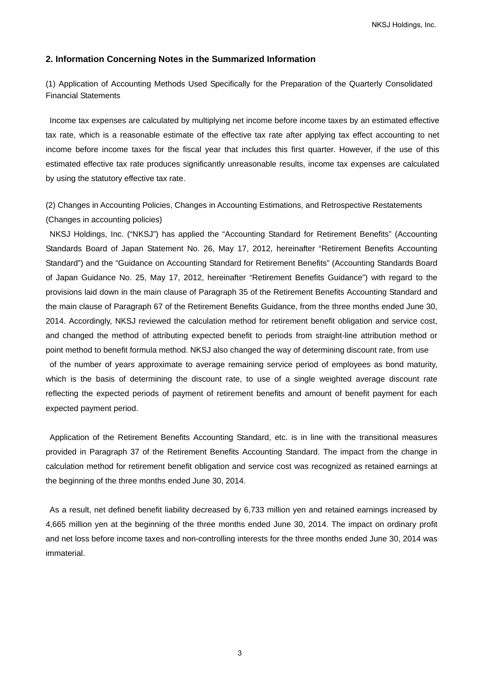### **2. Information Concerning Notes in the Summarized Information**

(1) Application of Accounting Methods Used Specifically for the Preparation of the Quarterly Consolidated Financial Statements

Income tax expenses are calculated by multiplying net income before income taxes by an estimated effective tax rate, which is a reasonable estimate of the effective tax rate after applying tax effect accounting to net income before income taxes for the fiscal year that includes this first quarter. However, if the use of this estimated effective tax rate produces significantly unreasonable results, income tax expenses are calculated by using the statutory effective tax rate.

(2) Changes in Accounting Policies, Changes in Accounting Estimations, and Retrospective Restatements (Changes in accounting policies)

NKSJ Holdings, Inc. ("NKSJ") has applied the "Accounting Standard for Retirement Benefits" (Accounting Standards Board of Japan Statement No. 26, May 17, 2012, hereinafter "Retirement Benefits Accounting Standard") and the "Guidance on Accounting Standard for Retirement Benefits" (Accounting Standards Board of Japan Guidance No. 25, May 17, 2012, hereinafter "Retirement Benefits Guidance") with regard to the provisions laid down in the main clause of Paragraph 35 of the Retirement Benefits Accounting Standard and the main clause of Paragraph 67 of the Retirement Benefits Guidance, from the three months ended June 30, 2014. Accordingly, NKSJ reviewed the calculation method for retirement benefit obligation and service cost, and changed the method of attributing expected benefit to periods from straight-line attribution method or point method to benefit formula method. NKSJ also changed the way of determining discount rate, from use

of the number of years approximate to average remaining service period of employees as bond maturity, which is the basis of determining the discount rate, to use of a single weighted average discount rate reflecting the expected periods of payment of retirement benefits and amount of benefit payment for each expected payment period.

Application of the Retirement Benefits Accounting Standard, etc. is in line with the transitional measures provided in Paragraph 37 of the Retirement Benefits Accounting Standard. The impact from the change in calculation method for retirement benefit obligation and service cost was recognized as retained earnings at the beginning of the three months ended June 30, 2014.

As a result, net defined benefit liability decreased by 6,733 million yen and retained earnings increased by 4,665 million yen at the beginning of the three months ended June 30, 2014. The impact on ordinary profit and net loss before income taxes and non-controlling interests for the three months ended June 30, 2014 was immaterial.

3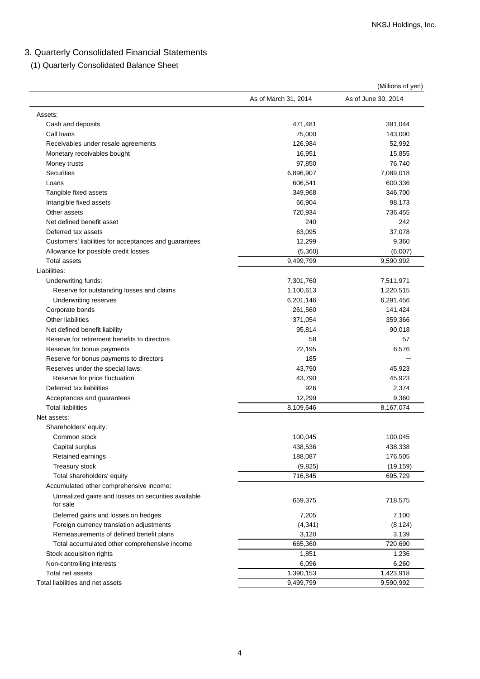# 3. Quarterly Consolidated Financial Statements

(1) Quarterly Consolidated Balance Sheet

|                                                       |                      | (Millions of yen)   |
|-------------------------------------------------------|----------------------|---------------------|
|                                                       | As of March 31, 2014 | As of June 30, 2014 |
| Assets:                                               |                      |                     |
| Cash and deposits                                     | 471,481              | 391,044             |
| Call loans                                            | 75,000               | 143,000             |
| Receivables under resale agreements                   | 126,984              | 52,992              |
| Monetary receivables bought                           | 16,951               | 15,855              |
| Money trusts                                          | 97,850               | 76,740              |
| <b>Securities</b>                                     | 6,896,907            | 7,089,018           |
| Loans                                                 | 606,541              | 600,336             |
| Tangible fixed assets                                 | 349,968              | 346,700             |
| Intangible fixed assets                               | 66,904               | 98,173              |
| Other assets                                          | 720,934              | 736,455             |
| Net defined benefit asset                             | 240                  | 242                 |
| Deferred tax assets                                   | 63,095               | 37,078              |
| Customers' liabilities for acceptances and guarantees | 12,299               | 9,360               |
| Allowance for possible credit losses                  | (5,360)              | (6,007)             |
| <b>Total assets</b>                                   | 9,499,799            | 9,590,992           |
| Liabilities:                                          |                      |                     |
| Underwriting funds:                                   | 7,301,760            | 7,511,971           |
| Reserve for outstanding losses and claims             | 1,100,613            | 1,220,515           |
| Underwriting reserves                                 | 6,201,146            | 6,291,456           |
| Corporate bonds                                       | 261,560              | 141,424             |
| <b>Other liabilities</b>                              | 371,054              | 359,366             |
| Net defined benefit liability                         | 95,814               | 90,018              |
| Reserve for retirement benefits to directors          | 58                   | 57                  |
| Reserve for bonus payments                            | 22,195               | 6,576               |
| Reserve for bonus payments to directors               | 185                  |                     |
| Reserves under the special laws:                      | 43,790               | 45,923              |
| Reserve for price fluctuation                         | 43,790               | 45,923              |
| Deferred tax liabilities                              | 926                  | 2,374               |
| Acceptances and guarantees                            | 12,299               | 9,360               |
| <b>Total liabilities</b>                              | 8,109,646            | 8,167,074           |
| Net assets:                                           |                      |                     |
| Shareholders' equity:                                 |                      |                     |
| Common stock                                          | 100,045              | 100,045             |
| Capital surplus                                       | 438,536              | 438,338             |
| Retained earnings                                     | 188,087              | 176,505             |
| Treasury stock                                        | (9,825)              | (19, 159)           |
| Total shareholders' equity                            | 716,845              | 695,729             |
| Accumulated other comprehensive income:               |                      |                     |
| Unrealized gains and losses on securities available   |                      |                     |
| for sale                                              | 659,375              | 718,575             |
| Deferred gains and losses on hedges                   | 7,205                | 7,100               |
| Foreign currency translation adjustments              | (4, 341)             | (8, 124)            |
| Remeasurements of defined benefit plans               | 3,120                | 3,139               |
| Total accumulated other comprehensive income          | 665,360              | 720,690             |
| Stock acquisition rights                              | 1,851                | 1,236               |
| Non-controlling interests                             | 6,096                | 6,260               |
| Total net assets                                      | 1,390,153            | 1,423,918           |
| Total liabilities and net assets                      | 9,499,799            | 9,590,992           |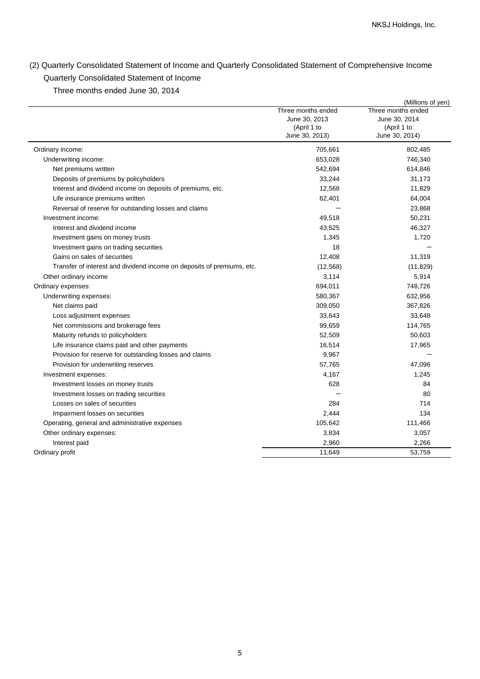# (2) Quarterly Consolidated Statement of Income and Quarterly Consolidated Statement of Comprehensive Income Quarterly Consolidated Statement of Income

Three months ended June 30, 2014

|                                                                        |                                                                      | (Millions of yen)                                                    |
|------------------------------------------------------------------------|----------------------------------------------------------------------|----------------------------------------------------------------------|
|                                                                        | Three months ended<br>June 30, 2013<br>(April 1 to<br>June 30, 2013) | Three months ended<br>June 30, 2014<br>(April 1 to<br>June 30, 2014) |
| Ordinary income:                                                       | 705,661                                                              | 802,485                                                              |
| Underwriting income:                                                   | 653,028                                                              | 746,340                                                              |
| Net premiums written                                                   | 542,694                                                              | 614,846                                                              |
| Deposits of premiums by policyholders                                  | 33,244                                                               | 31,173                                                               |
| Interest and dividend income on deposits of premiums, etc.             | 12,568                                                               | 11,829                                                               |
| Life insurance premiums written                                        | 62,401                                                               | 64,004                                                               |
| Reversal of reserve for outstanding losses and claims                  |                                                                      | 23,868                                                               |
| Investment income:                                                     | 49,518                                                               | 50,231                                                               |
| Interest and dividend income                                           | 43,525                                                               | 46,327                                                               |
| Investment gains on money trusts                                       | 1,345                                                                | 1,720                                                                |
| Investment gains on trading securities                                 | 18                                                                   |                                                                      |
| Gains on sales of securities                                           | 12,408                                                               | 11,319                                                               |
| Transfer of interest and dividend income on deposits of premiums, etc. | (12, 568)                                                            | (11, 829)                                                            |
| Other ordinary income                                                  | 3,114                                                                | 5,914                                                                |
| Ordinary expenses:                                                     | 694,011                                                              | 748,726                                                              |
| Underwriting expenses:                                                 | 580,367                                                              | 632,956                                                              |
| Net claims paid                                                        | 309,050                                                              | 367,826                                                              |
| Loss adjustment expenses                                               | 33,643                                                               | 33,648                                                               |
| Net commissions and brokerage fees                                     | 99,659                                                               | 114,765                                                              |
| Maturity refunds to policyholders                                      | 52,509                                                               | 50,603                                                               |
| Life insurance claims paid and other payments                          | 16,514                                                               | 17,965                                                               |
| Provision for reserve for outstanding losses and claims                | 9,967                                                                |                                                                      |
| Provision for underwriting reserves                                    | 57,765                                                               | 47,096                                                               |
| Investment expenses:                                                   | 4,167                                                                | 1,245                                                                |
| Investment losses on money trusts                                      | 628                                                                  | 84                                                                   |
| Investment losses on trading securities                                |                                                                      | 80                                                                   |
| Losses on sales of securities                                          | 284                                                                  | 714                                                                  |
| Impairment losses on securities                                        | 2,444                                                                | 134                                                                  |
| Operating, general and administrative expenses                         | 105,642                                                              | 111,466                                                              |
| Other ordinary expenses:                                               | 3,834                                                                | 3,057                                                                |
| Interest paid                                                          | 2,960                                                                | 2,266                                                                |
| Ordinary profit                                                        | 11,649                                                               | 53,759                                                               |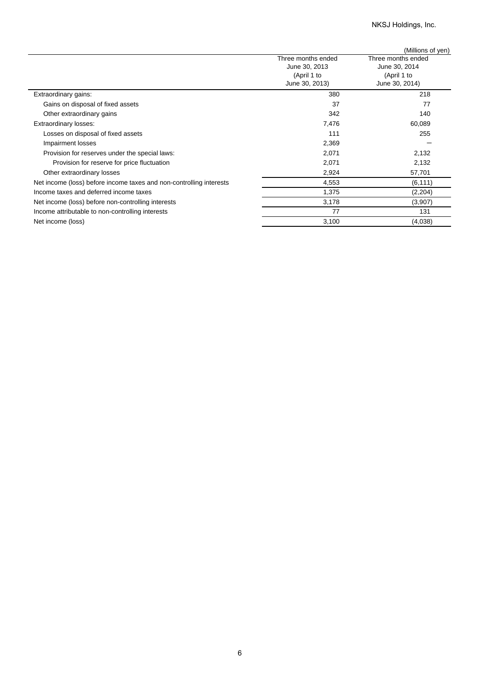## NKSJ Holdings, Inc.

|                                                                     |                    | (Millions of yen)  |
|---------------------------------------------------------------------|--------------------|--------------------|
|                                                                     | Three months ended | Three months ended |
|                                                                     | June 30, 2013      | June 30, 2014      |
|                                                                     | (April 1 to        | (April 1 to        |
|                                                                     | June 30, 2013)     | June 30, 2014)     |
| Extraordinary gains:                                                | 380                | 218                |
| Gains on disposal of fixed assets                                   | 37                 | 77                 |
| Other extraordinary gains                                           | 342                | 140                |
| <b>Extraordinary losses:</b>                                        | 7,476              | 60,089             |
| Losses on disposal of fixed assets                                  | 111                | 255                |
| Impairment losses                                                   | 2,369              |                    |
| Provision for reserves under the special laws:                      | 2,071              | 2,132              |
| Provision for reserve for price fluctuation                         | 2,071              | 2,132              |
| Other extraordinary losses                                          | 2,924              | 57,701             |
| Net income (loss) before income taxes and non-controlling interests | 4,553              | (6, 111)           |
| Income taxes and deferred income taxes                              | 1,375              | (2,204)            |
| Net income (loss) before non-controlling interests                  | 3,178              | (3,907)            |
| Income attributable to non-controlling interests                    | 77                 | 131                |
| Net income (loss)                                                   | 3,100              | (4,038)            |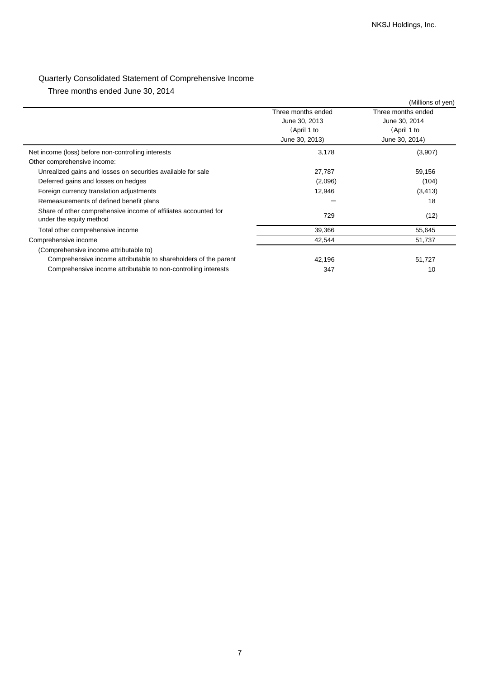# Quarterly Consolidated Statement of Comprehensive Income

Three months ended June 30, 2014

|                                                                                            |                    | (Millions of yen)  |
|--------------------------------------------------------------------------------------------|--------------------|--------------------|
|                                                                                            | Three months ended | Three months ended |
|                                                                                            | June 30, 2013      | June 30, 2014      |
|                                                                                            | (April 1 to        | (April 1 to        |
|                                                                                            | June 30, 2013)     | June 30, 2014)     |
| Net income (loss) before non-controlling interests                                         | 3,178              | (3,907)            |
| Other comprehensive income:                                                                |                    |                    |
| Unrealized gains and losses on securities available for sale                               | 27,787             | 59,156             |
| Deferred gains and losses on hedges                                                        | (2,096)            | (104)              |
| Foreign currency translation adjustments                                                   | 12,946             | (3, 413)           |
| Remeasurements of defined benefit plans                                                    |                    | 18                 |
| Share of other comprehensive income of affiliates accounted for<br>under the equity method | 729                | (12)               |
| Total other comprehensive income                                                           | 39,366             | 55,645             |
| Comprehensive income                                                                       | 42,544             | 51,737             |
| (Comprehensive income attributable to)                                                     |                    |                    |
| Comprehensive income attributable to shareholders of the parent                            | 42,196             | 51,727             |
| Comprehensive income attributable to non-controlling interests                             | 347                | 10                 |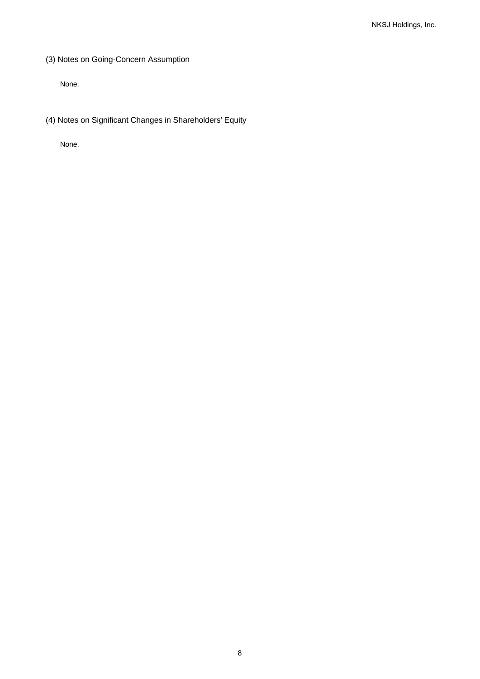(3) Notes on Going-Concern Assumption

None.

(4) Notes on Significant Changes in Shareholders' Equity

None.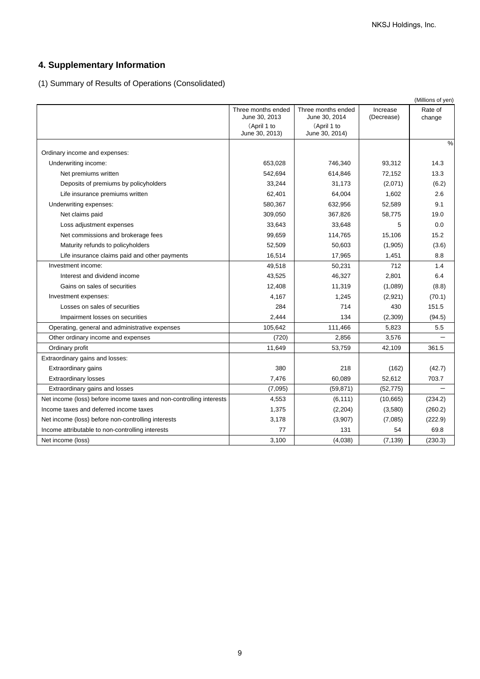# **4. Supplementary Information**

(1) Summary of Results of Operations (Consolidated)

|                                                                     |                                     |                                     |                        | (Millions of yen) |
|---------------------------------------------------------------------|-------------------------------------|-------------------------------------|------------------------|-------------------|
|                                                                     | Three months ended<br>June 30, 2013 | Three months ended<br>June 30, 2014 | Increase<br>(Decrease) | Rate of<br>change |
|                                                                     | (April 1 to<br>June 30, 2013)       | (April 1 to<br>June 30, 2014)       |                        |                   |
| Ordinary income and expenses:                                       |                                     |                                     |                        | $\%$              |
| Underwriting income:                                                | 653,028                             | 746,340                             | 93,312                 | 14.3              |
| Net premiums written                                                | 542,694                             | 614,846                             | 72,152                 | 13.3              |
| Deposits of premiums by policyholders                               | 33,244                              | 31,173                              | (2,071)                | (6.2)             |
| Life insurance premiums written                                     | 62,401                              | 64,004                              | 1,602                  | 2.6               |
| Underwriting expenses:                                              | 580,367                             | 632,956                             | 52,589                 | 9.1               |
| Net claims paid                                                     | 309,050                             | 367,826                             | 58,775                 | 19.0              |
| Loss adjustment expenses                                            | 33,643                              | 33,648                              | 5                      | 0.0               |
| Net commissions and brokerage fees                                  | 99,659                              | 114,765                             | 15,106                 | 15.2              |
| Maturity refunds to policyholders                                   | 52,509                              | 50,603                              | (1,905)                | (3.6)             |
| Life insurance claims paid and other payments                       | 16,514                              | 17,965                              | 1,451                  | 8.8               |
| Investment income:                                                  | 49,518                              | 50,231                              | 712                    | 1.4               |
| Interest and dividend income                                        | 43,525                              | 46,327                              | 2,801                  | 6.4               |
| Gains on sales of securities                                        | 12,408                              | 11,319                              | (1,089)                | (8.8)             |
| Investment expenses:                                                | 4,167                               | 1,245                               | (2,921)                | (70.1)            |
| Losses on sales of securities                                       | 284                                 | 714                                 | 430                    | 151.5             |
| Impairment losses on securities                                     | 2,444                               | 134                                 | (2,309)                | (94.5)            |
| Operating, general and administrative expenses                      | 105,642                             | 111,466                             | 5,823                  | 5.5               |
| Other ordinary income and expenses                                  | (720)                               | 2,856                               | 3,576                  |                   |
| Ordinary profit                                                     | 11,649                              | 53,759                              | 42,109                 | 361.5             |
| Extraordinary gains and losses:                                     |                                     |                                     |                        |                   |
| Extraordinary gains                                                 | 380                                 | 218                                 | (162)                  | (42.7)            |
| <b>Extraordinary losses</b>                                         | 7,476                               | 60,089                              | 52,612                 | 703.7             |
| Extraordinary gains and losses                                      | (7,095)                             | (59, 871)                           | (52, 775)              |                   |
| Net income (loss) before income taxes and non-controlling interests | 4,553                               | (6, 111)                            | (10,665)               | (234.2)           |
| Income taxes and deferred income taxes                              | 1,375                               | (2,204)                             | (3,580)                | (260.2)           |
| Net income (loss) before non-controlling interests                  | 3,178                               | (3,907)                             | (7,085)                | (222.9)           |
| Income attributable to non-controlling interests                    | 77                                  | 131                                 | 54                     | 69.8              |
| Net income (loss)                                                   | 3,100                               | (4,038)                             | (7, 139)               | (230.3)           |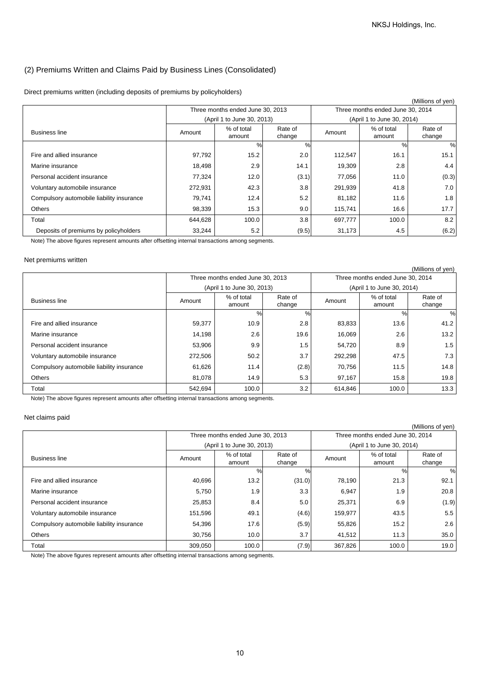### (2) Premiums Written and Claims Paid by Business Lines (Consolidated)

Direct premiums written (including deposits of premiums by policyholders)

|                                           |                                |                                  |                   |         |                                  | (Millions of yen) |
|-------------------------------------------|--------------------------------|----------------------------------|-------------------|---------|----------------------------------|-------------------|
|                                           |                                | Three months ended June 30, 2013 |                   |         | Three months ended June 30, 2014 |                   |
|                                           |                                | (April 1 to June 30, 2013)       |                   |         | (April 1 to June 30, 2014)       |                   |
| <b>Business line</b>                      | % of total<br>Amount<br>amount |                                  | Rate of<br>change | Amount  | % of total<br>amount             | Rate of<br>change |
|                                           |                                | $\%$                             | %                 |         | %                                | %                 |
| Fire and allied insurance                 | 97,792                         | 15.2                             | 2.0               | 112,547 | 16.1                             | 15.1              |
| Marine insurance                          | 18,498                         | 2.9                              | 14.1              | 19,309  | 2.8                              | 4.4               |
| Personal accident insurance               | 77,324                         | 12.0                             | (3.1)             | 77,056  | 11.0                             | (0.3)             |
| Voluntary automobile insurance            | 272,931                        | 42.3                             | 3.8               | 291,939 | 41.8                             | 7.0               |
| Compulsory automobile liability insurance | 79,741                         | 12.4                             | 5.2               | 81,182  | 11.6                             | 1.8               |
| <b>Others</b>                             | 98,339                         | 15.3                             | 9.0               | 115,741 | 16.6                             | 17.7              |
| Total                                     | 644,628                        | 100.0                            | 3.8               | 697,777 | 100.0                            | 8.2               |
| Deposits of premiums by policyholders     | 33,244                         | 5.2                              | (9.5)             | 31,173  | 4.5                              | (6.2)             |

Note) The above figures represent amounts after offsetting internal transactions among segments.

#### Net premiums written

|                                           |                                                     |                                  |       |         |                                  | (Millions of yen) |
|-------------------------------------------|-----------------------------------------------------|----------------------------------|-------|---------|----------------------------------|-------------------|
|                                           |                                                     | Three months ended June 30, 2013 |       |         | Three months ended June 30, 2014 |                   |
|                                           |                                                     | (April 1 to June 30, 2013)       |       |         | (April 1 to June 30, 2014)       |                   |
| <b>Business line</b>                      | % of total<br>Rate of<br>Amount<br>change<br>amount |                                  |       | Amount  | % of total<br>amount             | Rate of<br>change |
|                                           |                                                     | $\%$                             | $\%$  |         | %                                | %                 |
| Fire and allied insurance                 | 59,377                                              | 10.9                             | 2.8   | 83,833  | 13.6                             | 41.2              |
| Marine insurance                          | 14,198                                              | 2.6                              | 19.6  | 16,069  | 2.6                              | 13.2              |
| Personal accident insurance               | 53,906                                              | 9.9                              | 1.5   | 54,720  | 8.9                              | 1.5               |
| Voluntary automobile insurance            | 272,506                                             | 50.2                             | 3.7   | 292,298 | 47.5                             | 7.3               |
| Compulsory automobile liability insurance | 61,626                                              | 11.4                             | (2.8) | 70,756  | 11.5                             | 14.8              |
| <b>Others</b>                             | 81,078                                              | 14.9                             | 5.3   | 97,167  | 15.8                             | 19.8              |
| Total                                     | 542,694                                             | 100.0                            | 3.2   | 614,846 | 100.0                            | 13.3              |

Note) The above figures represent amounts after offsetting internal transactions among segments.

### Net claims paid

|                                           |                                                     |                                  |        |         |                                  | (Millions of yen) |
|-------------------------------------------|-----------------------------------------------------|----------------------------------|--------|---------|----------------------------------|-------------------|
|                                           |                                                     | Three months ended June 30, 2013 |        |         | Three months ended June 30, 2014 |                   |
|                                           |                                                     | (April 1 to June 30, 2013)       |        |         | (April 1 to June 30, 2014)       |                   |
| <b>Business line</b>                      | % of total<br>Rate of<br>Amount<br>change<br>amount |                                  |        | Amount  | % of total<br>amount             | Rate of<br>change |
|                                           |                                                     | $\frac{0}{0}$                    | %      |         | $\%$                             | %                 |
| Fire and allied insurance                 | 40,696                                              | 13.2                             | (31.0) | 78,190  | 21.3                             | 92.1              |
| Marine insurance                          | 5,750                                               | 1.9                              | 3.3    | 6,947   | 1.9                              | 20.8              |
| Personal accident insurance               | 25,853                                              | 8.4                              | 5.0    | 25,371  | 6.9                              | (1.9)             |
| Voluntary automobile insurance            | 151,596                                             | 49.1                             | (4.6)  | 159,977 | 43.5                             | 5.5               |
| Compulsory automobile liability insurance | 54,396                                              | 17.6                             | (5.9)  | 55,826  | 15.2                             | 2.6               |
| Others                                    | 30.756                                              | 10.0                             | 3.7    | 41,512  | 11.3                             | 35.0              |
| Total                                     | 309,050                                             | 100.0                            | (7.9)  | 367,826 | 100.0                            | 19.0              |

Note) The above figures represent amounts after offsetting internal transactions among segments.